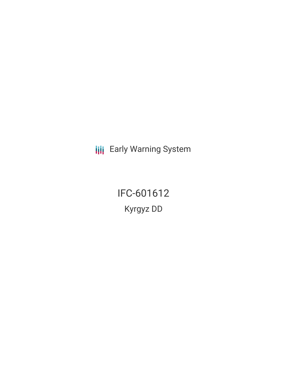**III** Early Warning System

IFC-601612 Kyrgyz DD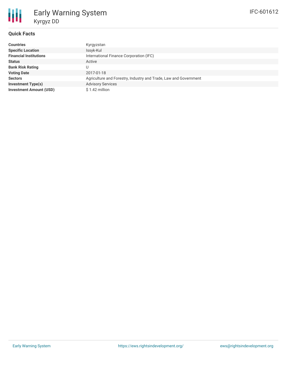# **Quick Facts**

| <b>Countries</b>               | Kyrgyzstan                                                       |
|--------------------------------|------------------------------------------------------------------|
| <b>Specific Location</b>       | Issyk-Kul                                                        |
| <b>Financial Institutions</b>  | International Finance Corporation (IFC)                          |
| <b>Status</b>                  | Active                                                           |
| <b>Bank Risk Rating</b>        | U.                                                               |
| <b>Voting Date</b>             | 2017-01-18                                                       |
| <b>Sectors</b>                 | Agriculture and Forestry, Industry and Trade, Law and Government |
| <b>Investment Type(s)</b>      | <b>Advisory Services</b>                                         |
| <b>Investment Amount (USD)</b> | $$1.42$ million                                                  |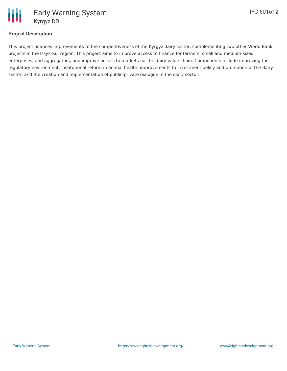

# **Project Description**

This project finances improvements to the competitiveness of the Kyrgyz dairy sector, complementing two other World Bank projects in the Issyk-Kul region. This project aims to improve access to finance for farmers, small and medium-sized enterprises, and aggregators, and improve access to markets for the dairy value chain. Components include improving the regulatory environment, institutional reform in animal health, improvements to investment policy and promotion of the dairy sector, and the creation and implementation of public-private dialogue in the diary sector.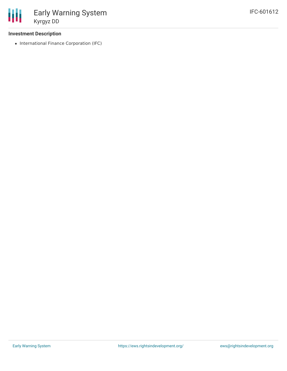

### **Investment Description**

• International Finance Corporation (IFC)